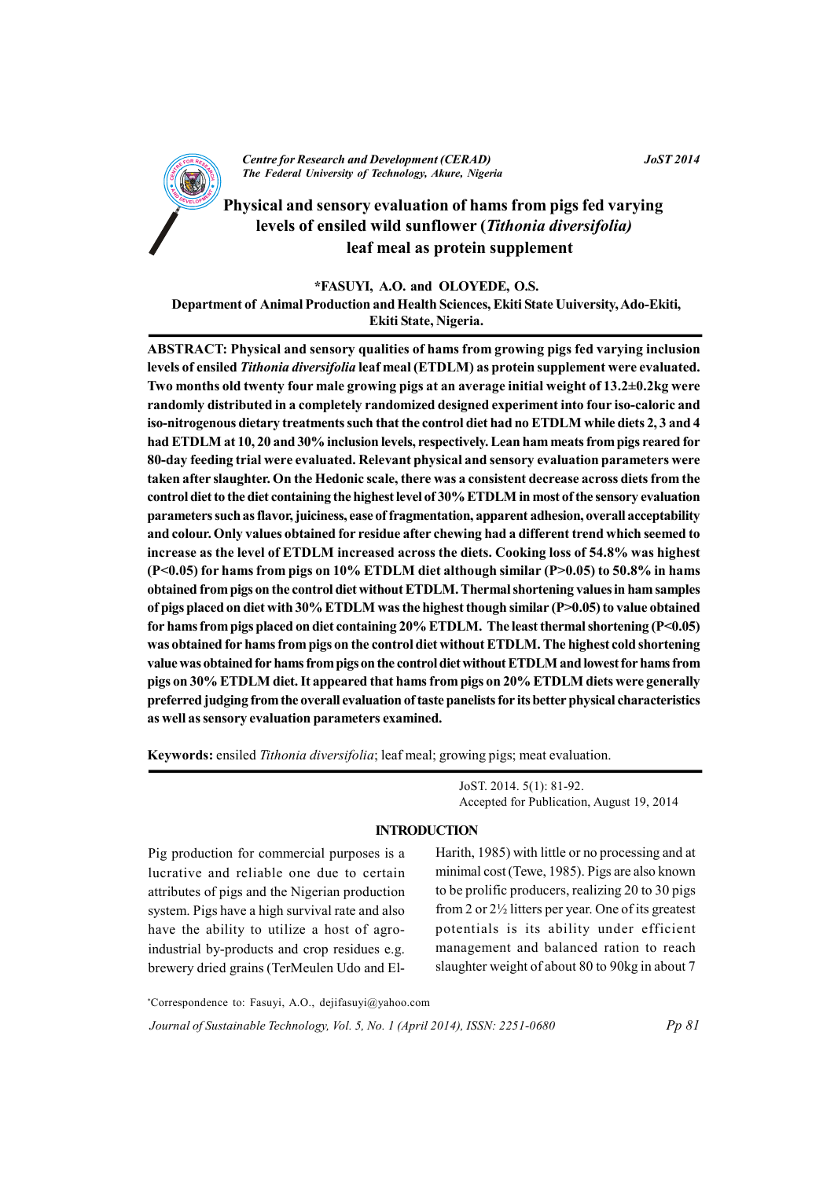

## leaf meal as protein supplement

\*FASUYI, A.O. and OLOYEDE, O.S.

Department of Animal Production and Health Sciences, Ekiti State University, Ado-Ekiti, Ekiti State, Nigeria.

ABSTRACT: Physical and sensory qualities of hams from growing pigs fed varying inclusion levels of ensiled Tithonia diversifolia leaf meal (ETDLM) as protein supplement were evaluated. Two months old twenty four male growing pigs at an average initial weight of 13.2±0.2kg were randomly distributed in a completely randomized designed experiment into four iso-caloric and iso-nitrogenous dietary treatments such that the control diet had no ETDLM while diets 2, 3 and 4 had ETDLM at 10, 20 and 30% inclusion levels, respectively. Lean ham meats from pigs reared for 80-day feeding trial were evaluated. Relevant physical and sensory evaluation parameters were taken after slaughter. On the Hedonic scale, there was a consistent decrease across diets from the control diet to the diet containing the highest level of 30% ETDLM in most of the sensory evaluation parameters such as flavor, juiciness, ease of fragmentation, apparent adhesion, overall acceptability and colour. Only values obtained for residue after chewing had a different trend which seemed to increase as the level of ETDLM increased across the diets. Cooking loss of 54.8% was highest (P<0.05) for hams from pigs on 10% ETDLM diet although similar (P>0.05) to 50.8% in hams obtained from pigs on the control diet without ETDLM. Thermal shortening values in ham samples of pigs placed on diet with  $30\%$  ETDLM was the highest though similar ( $P>0.05$ ) to value obtained for hams from pigs placed on diet containing  $20\%$  ETDLM. The least thermal shortening ( $P<0.05$ ) was obtained for hams from pigs on the control diet without ETDLM. The highest cold shortening value was obtained for hams from pigs on the control diet without ETDLM and lowest for hams from pigs on 30% ETDLM diet. It appeared that hams from pigs on 20% ETDLM diets were generally preferred judging from the overall evaluation of taste panelists for its better physical characteristics as well as sensory evaluation parameters examined.

Keywords: ensiled Tithonia diversifolia; leaf meal; growing pigs; meat evaluation.

JoST. 2014. 5(1): 81-92. Accepted for Publication, August 19, 2014

## **INTRODUCTION**

Pig production for commercial purposes is a lucrative and reliable one due to certain attributes of pigs and the Nigerian production system. Pigs have a high survival rate and also have the ability to utilize a host of agroindustrial by-products and crop residues e.g. brewery dried grains (TerMeulen Udo and El-

Harith, 1985) with little or no processing and at minimal cost (Tewe, 1985). Pigs are also known to be prolific producers, realizing 20 to 30 pigs from 2 or  $2\frac{1}{2}$  litters per year. One of its greatest potentials is its ability under efficient management and balanced ration to reach slaughter weight of about 80 to 90kg in about 7

\*Correspondence to: Fasuyi, A.O., dejifasuyi@yahoo.com Journal of Sustainable Technology, Vol. 5, No. 1 (April 2014), ISSN: 2251-0680

**JoST 2014** 

 $Pp 81$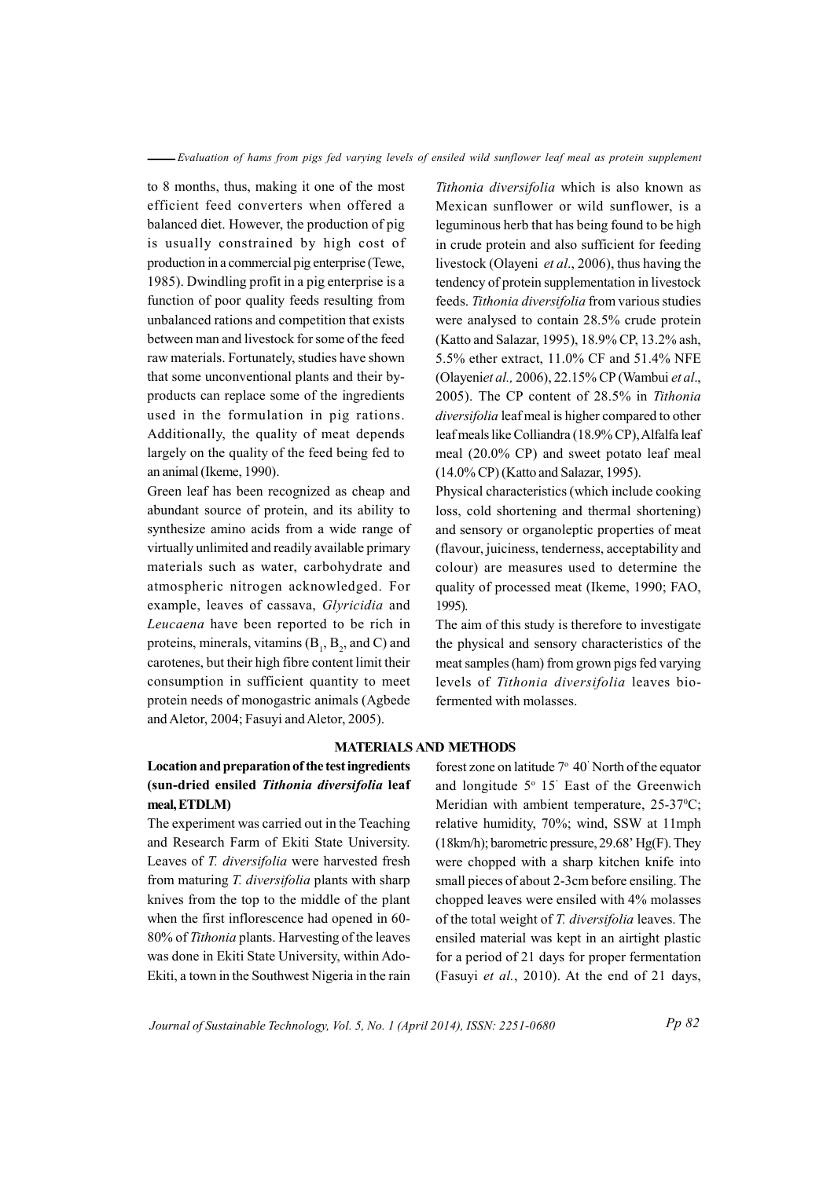to 8 months, thus, making it one of the most efficient feed converters when offered a balanced diet. However, the production of pig is usually constrained by high cost of production in a commercial pig enterprise (Tewe, 1985). Dwindling profit in a pig enterprise is a function of poor quality feeds resulting from unbalanced rations and competition that exists between man and livestock for some of the feed raw materials. Fortunately, studies have shown that some unconventional plants and their byproducts can replace some of the ingredients used in the formulation in pig rations. Additionally, the quality of meat depends largely on the quality of the feed being fed to an animal (Ikeme, 1990).

Green leaf has been recognized as cheap and abundant source of protein, and its ability to synthesize amino acids from a wide range of virtually unlimited and readily available primary materials such as water, carbohydrate and atmospheric nitrogen acknowledged. For example, leaves of cassava, *Glyricidia* and *Leucaena* have been reported to be rich in proteins, minerals, vitamins  $(B_1, B_2,$  and C) and carotenes, but their high fibre content limit their consumption in sufficient quantity to meet protein needs of monogastric animals (Agbede and Aletor, 2004; Fasuyi and Aletor, 2005).

*Tithonia diversifolia* which is also known as Mexican sunflower or wild sunflower, is a leguminous herb that has being found to be high in crude protein and also sufficient for feeding live stock (Olayeni *et al.*, 2006), thus having the tendency of protein supplementation in livestock feeds. Tithonia diversifolia from various studies were analysed to contain 28.5% crude protein (Katto and Salazar, 1995), 18.9% CP, 13.2% ash, 5.5% ether extract, 11.0% CF and 51.4% NFE O( lay ine *et al.,* 2 600 ), 22 51. % CP (Wambui *et al*., 2005). The CP content of 28.5% in *Tithonia diversifolia* leaf meal is higher compared to other leaf meals like Colliandra (18.9% CP), Alfalfa leaf meal  $(20.0\% \text{ CP})$  and sweet potato leaf meal  $(14.0\% \text{ CP})$  (Katto and Salazar, 1995).

Physical characteristics (which include cooking loss, cold shortening and thermal shortening) and sensory or organoleptic properties of meat (flavour, juiciness, tenderness, acceptability and colour) are measures used to determine the quality of processed meat (Ikeme, 1990; FAO, 1995).

The aim of this study is therefore to investigate the physical and sensory characteristics of the meat samples (ham) from grown pigs fed varying levels of *Tithonia diversifolia* leaves biofermented with molasses.

#### **MATERIALS AND METHODS**

# **Location and preparation of the test ingredients (sun-d ir ed ne siled** *Tithon ai dive sr ifolia* **leaf meal,ETDLM)**

The experiment was carried out in the Teaching and Research Farm of Ekiti State University. Leaves of *T. diversifolia* were harvested fresh from maturing *T. diversifolia* plants with sharp knives from the top to the middle of the plant when the first inflorescence had opened in 60-80% of *Tithonia* plants. Harvesting of the leaves was done in Ekiti State University, within Ado-Ekiti, a town in the Southwest Nigeria in the rain

forest zone on latitude  $7^{\circ}$  40' North of the equator and longitude  $5^{\circ}$  15' East of the Greenwich Meridian with ambient temperature,  $25-37^{\circ}\text{C}$ ; relative humidity, 70%; wind, SSW at 11mph  $(18km/h)$ ; barometric pressure, 29.68' Hg(F). They were chopped with a sharp kitchen knife into small pieces of about 2-3 cm before ensiling. The chopped leaves were ensiled with 4% molasses of the total weight of *T. diversifolia* leaves. The ensiled material was kept in an airtight plastic for a period of 21 days for proper fermentation (Fasuyi *et al.*, 2010). At the end of 21 days,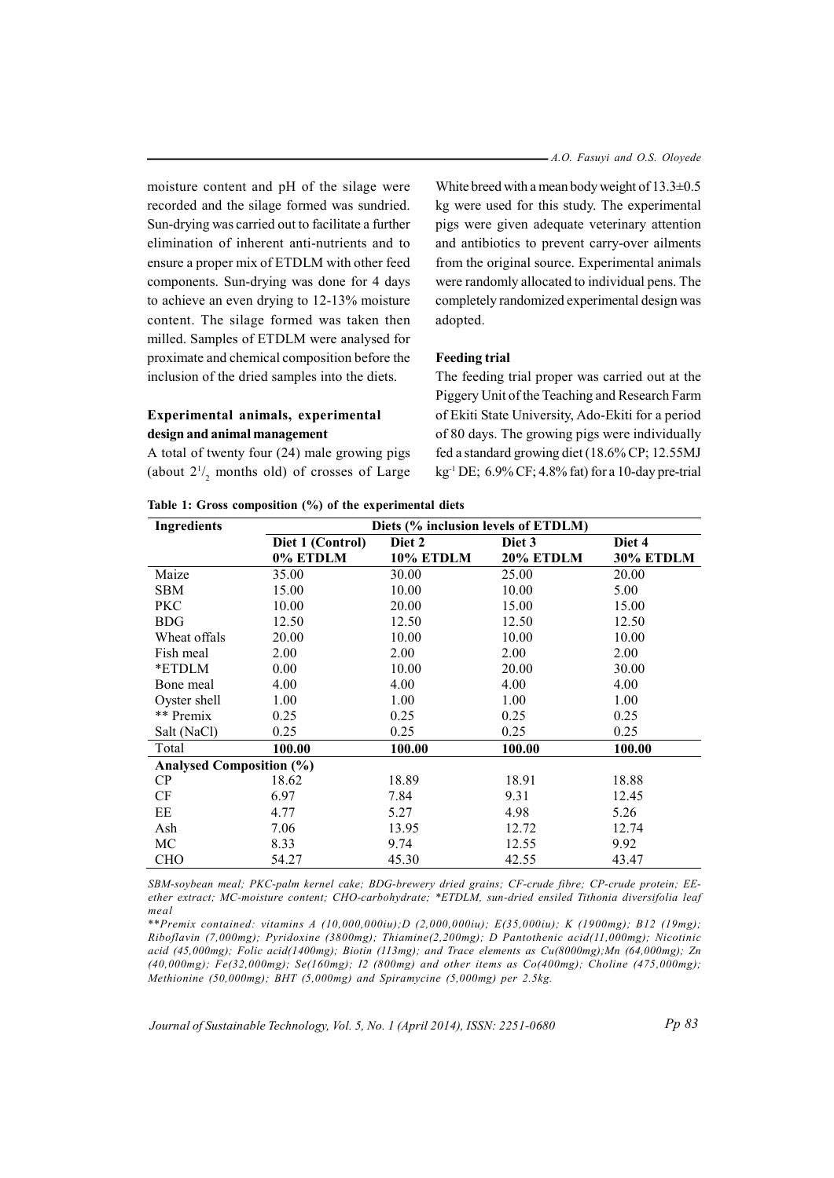moisture content and pH of the silage were recorded and the silage formed was sundried. Sun-drying was carried out to facilitate a further elimination of inherent anti-nutrients and to ensure a proper mix of ETDLM with other feed components. Sun-drying was done for 4 days to achieve an even drying to  $12-13%$  moisture content. The silage formed was taken then milled. Samples of ETDLM were analysed for proximate and chemical composition before the inclusion of the dried samples into the diets.

# **Experimental animals, experimental design and animal management**

A total of twenty four  $(24)$  male growing pigs (about  $2^{1/2}$  months old) of crosses of Large

White breed with a mean body weight of  $13.3 \pm 0.5$ kg were used for this study. The experimental pigs were given adequate veterinary attention and antibiotics to prevent carry-over ailments from the original source. Experimental animals were randomly allocated to individual pens. The completely randomized experimental design was adopted.

## **Feeding trial**

The feeding trial proper was carried out at the Piggery Unit of the Teaching and Research Farm of Ekiti State University, Ado-Ekiti for a period of 80 days. The growing pigs were individually fed a standard growing diet (18.6% CP; 12.55MJ kg<sup>-1</sup> DE;  $6.9\%$  CF; 4.8% fat) for a 10-day pre-trial

| <b>Ingredients</b>              | Diets (% inclusion levels of ETDLM) |           |           |                  |  |  |
|---------------------------------|-------------------------------------|-----------|-----------|------------------|--|--|
|                                 | Diet 1 (Control)                    | Diet 2    | Diet 3    | Diet 4           |  |  |
|                                 | 0% ETDLM                            | 10% ETDLM | 20% ETDLM | <b>30% ETDLM</b> |  |  |
| Maize                           | 35.00                               | 30.00     | 25.00     | 20.00            |  |  |
| <b>SBM</b>                      | 15.00                               | 10.00     | 10.00     | 5.00             |  |  |
| <b>PKC</b>                      | 10.00                               | 20.00     | 15.00     | 15.00            |  |  |
| <b>BDG</b>                      | 12.50                               | 12.50     | 12.50     | 12.50            |  |  |
| Wheat offals                    | 20.00                               | 10.00     | 10.00     | 10.00            |  |  |
| Fish meal                       | 2.00                                | 2.00      | 2.00      | 2.00             |  |  |
| *ETDLM                          | 0.00                                | 10.00     | 20.00     | 30.00            |  |  |
| Bone meal                       | 4.00                                | 4.00      | 4.00      | 4.00             |  |  |
| Oyster shell                    | 1.00                                | 1.00      | 1.00      | 1.00             |  |  |
| ** Premix                       | 0.25                                | 0.25      | 0.25      | 0.25             |  |  |
| Salt (NaCl)                     | 0.25                                | 0.25      | 0.25      | 0.25             |  |  |
| Total                           | 100.00                              | 100.00    | 100.00    | 100.00           |  |  |
| <b>Analysed Composition (%)</b> |                                     |           |           |                  |  |  |
| CP                              | 18.62                               | 18.89     | 18.91     | 18.88            |  |  |
| <b>CF</b>                       | 6.97                                | 7.84      | 9.31      | 12.45            |  |  |
| EE                              | 4.77                                | 5.27      | 4.98      | 5.26             |  |  |
| Ash                             | 7.06                                | 13.95     | 12.72     | 12.74            |  |  |
| MC.                             | 8.33                                | 9.74      | 12.55     | 9.92             |  |  |
| <b>CHO</b>                      | 54.27                               | 45.30     | 42.55     | 43.47            |  |  |

|  |  |  |  |  |  |  | Table 1: Gross composition (%) of the experimental diets |  |
|--|--|--|--|--|--|--|----------------------------------------------------------|--|
|--|--|--|--|--|--|--|----------------------------------------------------------|--|

SBM-sovbean meal; PKC-palm kernel cake; BDG-brewery dried grains; CF-crude fibre; CP-crude protein; EEether extract; MC-moisture content; CHO-carbohydrate; \*ETDLM, sun-dried ensiled Tithonia diversifolia leaf *meal*

\*\* Premix contained: vitamins  $A(10,000,000iu)$ ;  $D(2,000,000iu)$ ;  $E(35,000iu)$ ;  $K(1900mg)$ ; B12 (19mg); Riboflavin (7,000mg); Pyridoxine (3800mg); Thiamine(2,200mg); D Pantothenic acid(11,000mg); Nicotinic acid (45,000mg); Folic acid(1400mg); Biotin (113mg); and Trace elements as  $Cu(8000mg)$ ; Mn (64,000mg); Zn  $(40,000mg)$ ; Fe(32,000mg); Se(160mg); I2 (800mg) and other items as  $Co(400mg)$ ; Choline (475,000mg); *Methionine (50,0 00 mg); BHT (5,000mg) and Spiramycine (5,000mg) per 2.5kg.*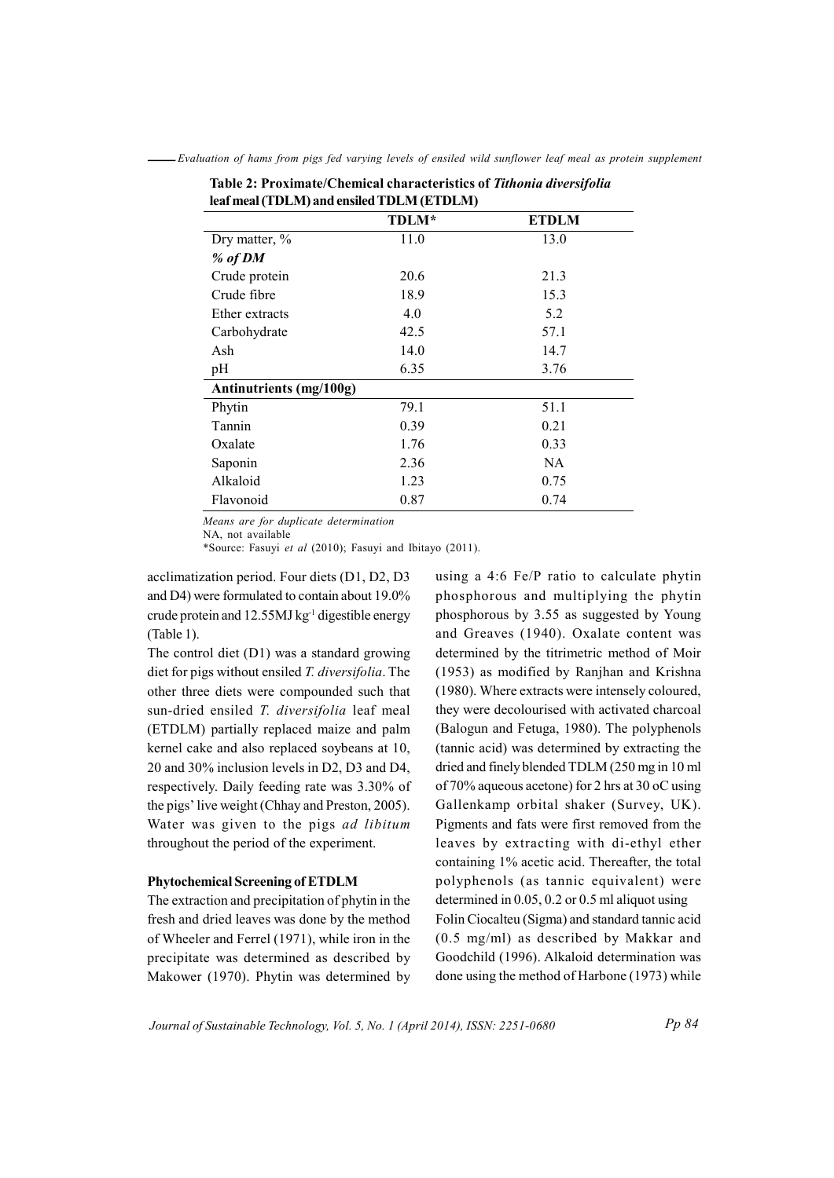| rear mear (TDLM) and ensued TDLM (ETDLM) |              |              |  |  |  |
|------------------------------------------|--------------|--------------|--|--|--|
|                                          | <b>TDLM*</b> | <b>ETDLM</b> |  |  |  |
| Dry matter, %                            | 11.0         | 13.0         |  |  |  |
| % of DM                                  |              |              |  |  |  |
| Crude protein                            | 20.6         | 21.3         |  |  |  |
| Crude fibre                              | 18.9         | 15.3         |  |  |  |
| Ether extracts                           | 4.0          | 5.2          |  |  |  |
| Carbohydrate                             | 42.5         | 57.1         |  |  |  |
| Ash                                      | 14.0         | 14.7         |  |  |  |
| pH                                       | 6.35         | 3.76         |  |  |  |
| Antinutrients (mg/100g)                  |              |              |  |  |  |
| Phytin                                   | 79.1         | 51.1         |  |  |  |
| Tannin                                   | 0.39         | 0.21         |  |  |  |
| Oxalate                                  | 1.76         | 0.33         |  |  |  |
| Saponin                                  | 2.36         | NA           |  |  |  |
| Alkaloid                                 | 1.23         | 0.75         |  |  |  |
| Flavonoid                                | 0.87         | 0.74         |  |  |  |

-Evaluation of hams from pigs fed varying levels of ensiled wild sunflower leaf meal as protein supplement Table 2: Proximate/Chemical characteristics of Tithonia diversifolia

Means are for duplicate determination

NA, not available

\*Source: Fasuyi et al (2010); Fasuyi and Ibitayo (2011).

acclimatization period. Four diets (D1, D2, D3 and D4) were formulated to contain about 19.0% crude protein and 12.55MJ kg<sup>-1</sup> digestible energy (Table 1).

The control diet (D1) was a standard growing diet for pigs without ensiled T. diversifolia. The other three diets were compounded such that sun-dried ensiled T. diversifolia leaf meal (ETDLM) partially replaced maize and palm kernel cake and also replaced soybeans at 10, 20 and 30% inclusion levels in D2, D3 and D4, respectively. Daily feeding rate was 3.30% of the pigs' live weight (Chhay and Preston, 2005). Water was given to the pigs ad libitum throughout the period of the experiment.

## **Phytochemical Screening of ETDLM**

The extraction and precipitation of phytin in the fresh and dried leaves was done by the method of Wheeler and Ferrel (1971), while iron in the precipitate was determined as described by Makower (1970). Phytin was determined by

using a 4:6 Fe/P ratio to calculate phytin phosphorous and multiplying the phytin phosphorous by 3.55 as suggested by Young and Greaves (1940). Oxalate content was determined by the titrimetric method of Moir (1953) as modified by Ranjhan and Krishna (1980). Where extracts were intensely coloured. they were decolourised with activated charcoal (Balogun and Fetuga, 1980). The polyphenols (tannic acid) was determined by extracting the dried and finely blended TDLM (250 mg in 10 ml of 70% aqueous acetone) for 2 hrs at 30 oC using Gallenkamp orbital shaker (Survey, UK). Pigments and fats were first removed from the leaves by extracting with di-ethyl ether containing 1% acetic acid. Thereafter, the total polyphenols (as tannic equivalent) were determined in  $0.05$ ,  $0.2$  or  $0.5$  ml aliquot using Folin Ciocalteu (Sigma) and standard tannic acid  $(0.5 \text{ mg/ml})$  as described by Makkar and Goodchild (1996). Alkaloid determination was done using the method of Harbone (1973) while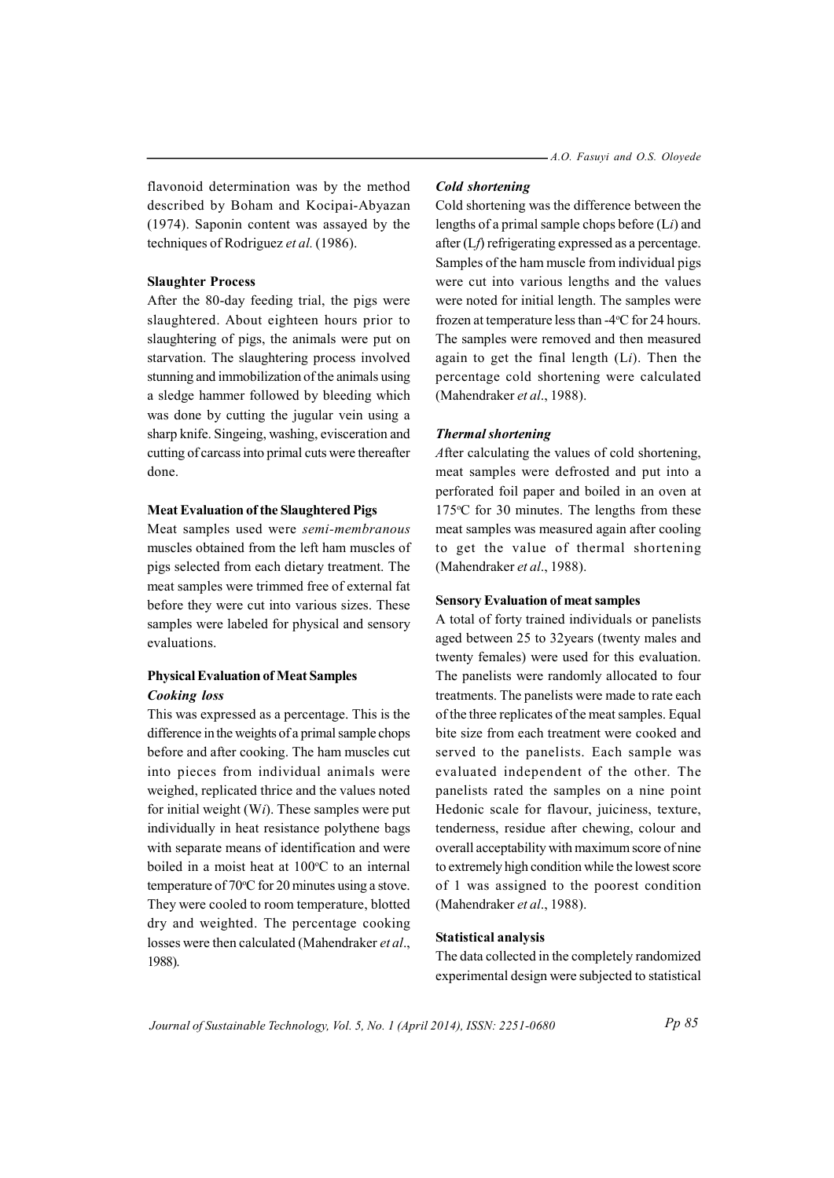flavonoid determination was by the method described by Boham and Kocipai-Abyazan (1974). Saponin content was assayed by the techniques of Rodriguez et al. (1986).

## **Slaughter Process**

After the 80-day feeding trial, the pigs were slaughtered. About eighteen hours prior to slaughtering of pigs, the animals were put on starvation. The slaughtering process involved stunning and immobilization of the animals using a sledge hammer followed by bleeding which was done by cutting the jugular vein using a sharp knife. Singeing, washing, evisceration and cutting of carcass into primal cuts were thereafter done

#### **Meat Evaluation of the Slaughtered Pigs**

Meat samples used were semi-membranous muscles obtained from the left ham muscles of pigs selected from each dietary treatment. The meat samples were trimmed free of external fat before they were cut into various sizes. These samples were labeled for physical and sensory evaluations.

# **Physical Evaluation of Meat Samples Cooking** loss

This was expressed as a percentage. This is the difference in the weights of a primal sample chops before and after cooking. The ham muscles cut into pieces from individual animals were weighed, replicated thrice and the values noted for initial weight  $(Wi)$ . These samples were put individually in heat resistance polythene bags with separate means of identification and were boiled in a moist heat at 100°C to an internal temperature of  $70^{\circ}$ C for 20 minutes using a stove. They were cooled to room temperature, blotted dry and weighted. The percentage cooking losses were then calculated (Mahendraker et al., 1988).

## **Cold shortening**

Cold shortening was the difference between the lengths of a primal sample chops before  $(L<sub>i</sub>)$  and after  $(Lf)$  refrigerating expressed as a percentage. Samples of the ham muscle from individual pigs were cut into various lengths and the values were noted for initial length. The samples were frozen at temperature less than -4°C for 24 hours. The samples were removed and then measured again to get the final length  $(L<sub>i</sub>)$ . Then the percentage cold shortening were calculated (Mahendraker *et al.*, 1988).

## **Thermal shortening**

After calculating the values of cold shortening. meat samples were defrosted and put into a perforated foil paper and boiled in an oven at 175 $\degree$ C for 30 minutes. The lengths from these meat samples was measured again after cooling to get the value of thermal shortening (Mahendraker et al., 1988).

### **Sensory Evaluation of meat samples**

A total of forty trained individuals or panelists aged between 25 to 32 years (twenty males and twenty females) were used for this evaluation. The panelists were randomly allocated to four treatments. The panelists were made to rate each of the three replicates of the meat samples. Equal bite size from each treatment were cooked and served to the panelists. Each sample was evaluated independent of the other. The panelists rated the samples on a nine point Hedonic scale for flavour, juiciness, texture, tenderness, residue after chewing, colour and overall acceptability with maximum score of nine to extremely high condition while the lowest score of 1 was assigned to the poorest condition (Mahendraker et al., 1988).

#### **Statistical analysis**

The data collected in the completely randomized experimental design were subjected to statistical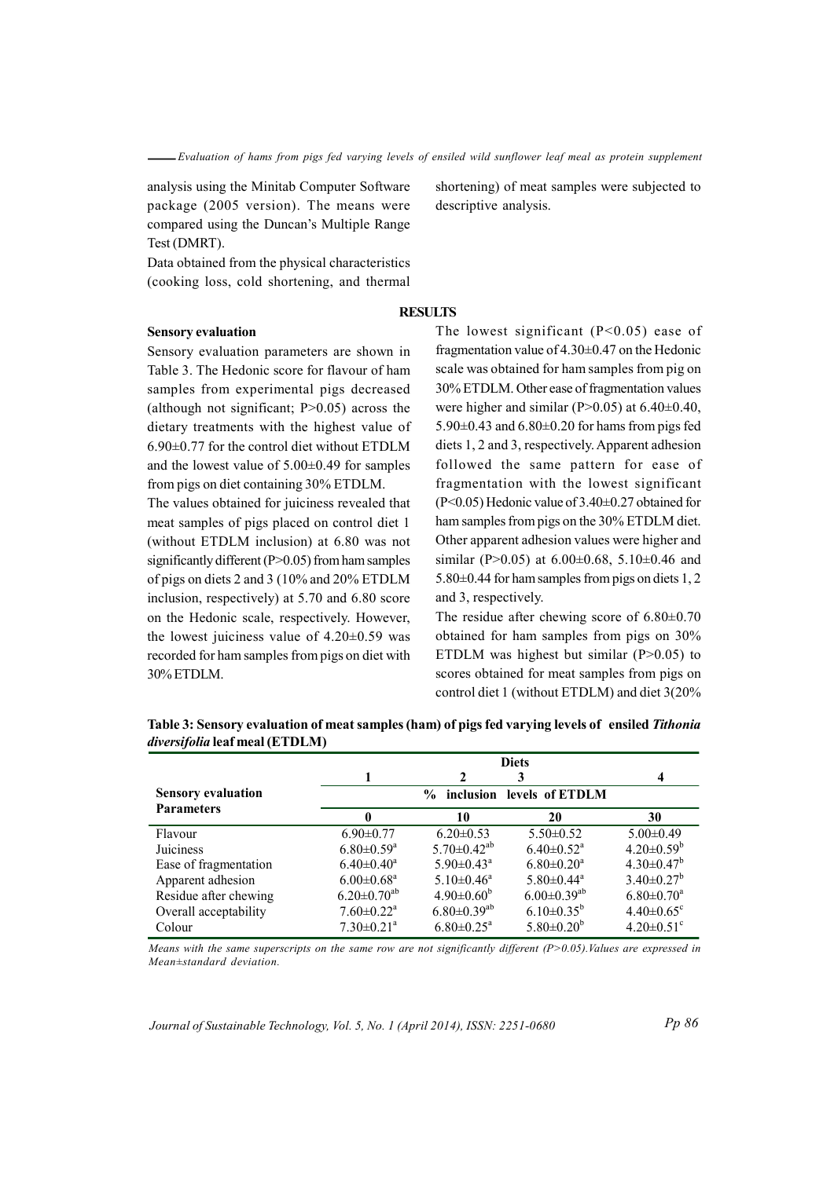analysis using the Minitab Computer Software package (2005 version). The means were compared using the Duncan's Multiple Range Test (DMRT).

Data obtained from the physical characteristics (cooking loss, cold shortening, and thermal

# **RESULTS**

#### **Sensory evaluation**

Sensory evaluation parameters are shown in Table 3. The Hedonic score for flavour of ham samples from experimental pigs decreased (although not significant;  $P>0.05$ ) across the dietary treatments with the highest value of  $6.90\pm0.77$  for the control diet without ETDLM and the lowest value of  $5.00\pm0.49$  for samples from pigs on diet containing 30% ETDLM.

The values obtained for juiciness revealed that meat samples of pigs placed on control diet 1 (without ETDLM inclusion) at 6.80 was not significantly different ( $P>0.05$ ) from ham samples of pigs on diets 2 and 3 (10% and 20% ETDLM inclusion, respectively) at 5.70 and 6.80 score on the Hedonic scale, respectively. However, the lowest juiciness value of  $4.20\pm0.59$  was recorded for ham samples from pigs on diet with 30% ETDLM.

The lowest significant  $(P<0.05)$  ease of fragmentation value of  $4.30\pm0.47$  on the Hedonic scale was obtained for ham samples from pig on 30% ETDLM. Other ease of fragmentation values were higher and similar (P $>0.05$ ) at 6.40 $\pm$ 0.40,  $5.90\pm0.43$  and  $6.80\pm0.20$  for hams from pigs fed diets 1, 2 and 3, respectively. Apparent adhesion followed the same pattern for ease of fragmentation with the lowest significant  $(P<0.05)$  Hedonic value of 3.40 $\pm$ 0.27 obtained for ham samples from pigs on the 30% ETDLM diet. Other apparent adhesion values were higher and similar (P>0.05) at  $6.00\pm0.68$ ,  $5.10\pm0.46$  and 5.80±0.44 for ham samples from pigs on diets 1, 2 and 3, respectively.

The residue after chewing score of  $6.80\pm0.70$ obtained for ham samples from pigs on 30% ETDLM was highest but similar ( $P > 0.05$ ) to scores obtained for meat samples from pigs on control diet 1 (without ETDLM) and diet 3(20%

|                           | <b>Diets</b>                               |                               |                               |                              |  |  |
|---------------------------|--------------------------------------------|-------------------------------|-------------------------------|------------------------------|--|--|
|                           |                                            |                               | 3                             |                              |  |  |
| <b>Sensory evaluation</b> | inclusion levels of ETDLM<br>$\frac{0}{0}$ |                               |                               |                              |  |  |
| <b>Parameters</b>         |                                            | 10                            | 20                            | 30                           |  |  |
| Flavour                   | $6.90 \pm 0.77$                            | $6.20 \pm 0.53$               | $5.50 \pm 0.52$               | $5.00 \pm 0.49$              |  |  |
| Juiciness                 | $6.80 \pm 0.59$ <sup>a</sup>               | $5.70 \pm 0.42$ <sup>ab</sup> | $6.40 \pm 0.52$ <sup>a</sup>  | $4.20 \pm 0.59^b$            |  |  |
| Ease of fragmentation     | $6.40 \pm 0.40^a$                          | $5.90 \pm 0.43^{\circ}$       | $6.80 \pm 0.20$ <sup>a</sup>  | $4.30\pm0.47^b$              |  |  |
| Apparent adhesion         | $6.00 \pm 0.68$ <sup>a</sup>               | $5.10 \pm 0.46$ <sup>a</sup>  | $5.80 \pm 0.44$ <sup>a</sup>  | $3.40 \pm 0.27^b$            |  |  |
| Residue after chewing     | $6.20 \pm 0.70$ <sup>ab</sup>              | $4.90 \pm 0.60^{\circ}$       | $6.00 \pm 0.39$ <sup>ab</sup> | $6.80 \pm 0.70$ <sup>a</sup> |  |  |
| Overall acceptability     | $7.60 \pm 0.22$ <sup>a</sup>               | $6.80 \pm 0.39$ <sup>ab</sup> | $6.10\pm0.35^{b}$             | $4.40 \pm 0.65$ <sup>c</sup> |  |  |
| Colour                    | $7.30 \pm 0.21$ <sup>a</sup>               | $6.80 \pm 0.25$ <sup>a</sup>  | $5.80 \pm 0.20^b$             | $4.20 \pm 0.51$ <sup>c</sup> |  |  |

Table 3: Sensory evaluation of meat samples (ham) of pigs fed varying levels of ensiled Tithonia diversifolia leaf meal (ETDLM)

Means with the same superscripts on the same row are not significantly different  $(P>0.05)$ . Values are expressed in  $Mean \pm standard$  deviation.

Journal of Sustainable Technology, Vol. 5, No. 1 (April 2014), ISSN: 2251-0680

shortening) of meat samples were subjected to descriptive analysis.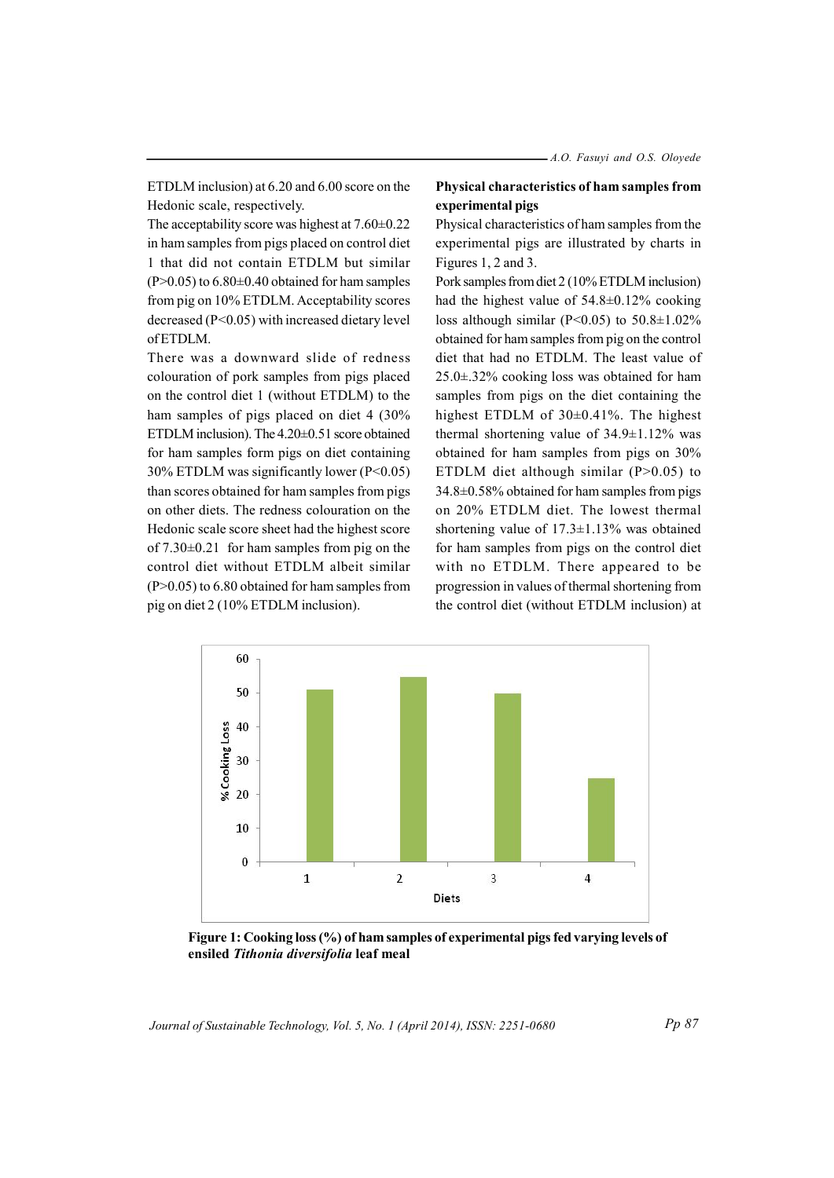ETDLM inclusion) at 6.20 and 6.00 score on the Hedonic scale, respectively.

The acceptability score was highest at  $7.60\pm0.22$ in ham samples from pigs placed on control diet 1 that did not contain ETDLM but similar  $(P>0.05)$  to 6.80 $\pm$ 0.40 obtained for ham samples from pig on 10% ETDLM. Acceptability scores decreased (P<0.05) with increased dietary level  $of **ETDI** M$ 

There was a downward slide of redness colouration of pork samples from pigs placed on the control diet 1 (without ETDLM) to the ham samples of pigs placed on diet 4 (30% ETDLM inclusion). The 4.20±0.51 score obtained for ham samples form pigs on diet containing 30% ETDLM was significantly lower ( $P < 0.05$ ) than scores obtained for ham samples from pigs on other diets. The redness colouration on the Hedonic scale score sheet had the highest score of  $7.30\pm0.21$  for ham samples from pig on the control diet without ETDLM albeit similar  $(P>0.05)$  to 6.80 obtained for ham samples from pig on diet 2 (10% ETDLM inclusion).

## Physical characteristics of ham samples from experimental pigs

Physical characteristics of ham samples from the experimental pigs are illustrated by charts in Figures 1, 2 and 3.

Pork samples from diet 2 (10% ETDLM inclusion) had the highest value of  $54.8 \pm 0.12\%$  cooking loss although similar (P<0.05) to  $50.8 \pm 1.02\%$ obtained for ham samples from pig on the control diet that had no ETDLM. The least value of  $25.0 \pm .32\%$  cooking loss was obtained for ham samples from pigs on the diet containing the highest ETDLM of  $30\pm0.41\%$ . The highest thermal shortening value of  $34.9 \pm 1.12\%$  was obtained for ham samples from pigs on 30% ETDLM diet although similar  $(P>0.05)$  to  $34.8\pm0.58\%$  obtained for ham samples from pigs on 20% ETDLM diet. The lowest thermal shortening value of  $17.3 \pm 1.13\%$  was obtained for ham samples from pigs on the control diet with no ETDLM. There appeared to be progression in values of thermal shortening from the control diet (without ETDLM inclusion) at



Figure 1: Cooking loss (%) of ham samples of experimental pigs fed varying levels of ensiled Tithonia diversifolia leaf meal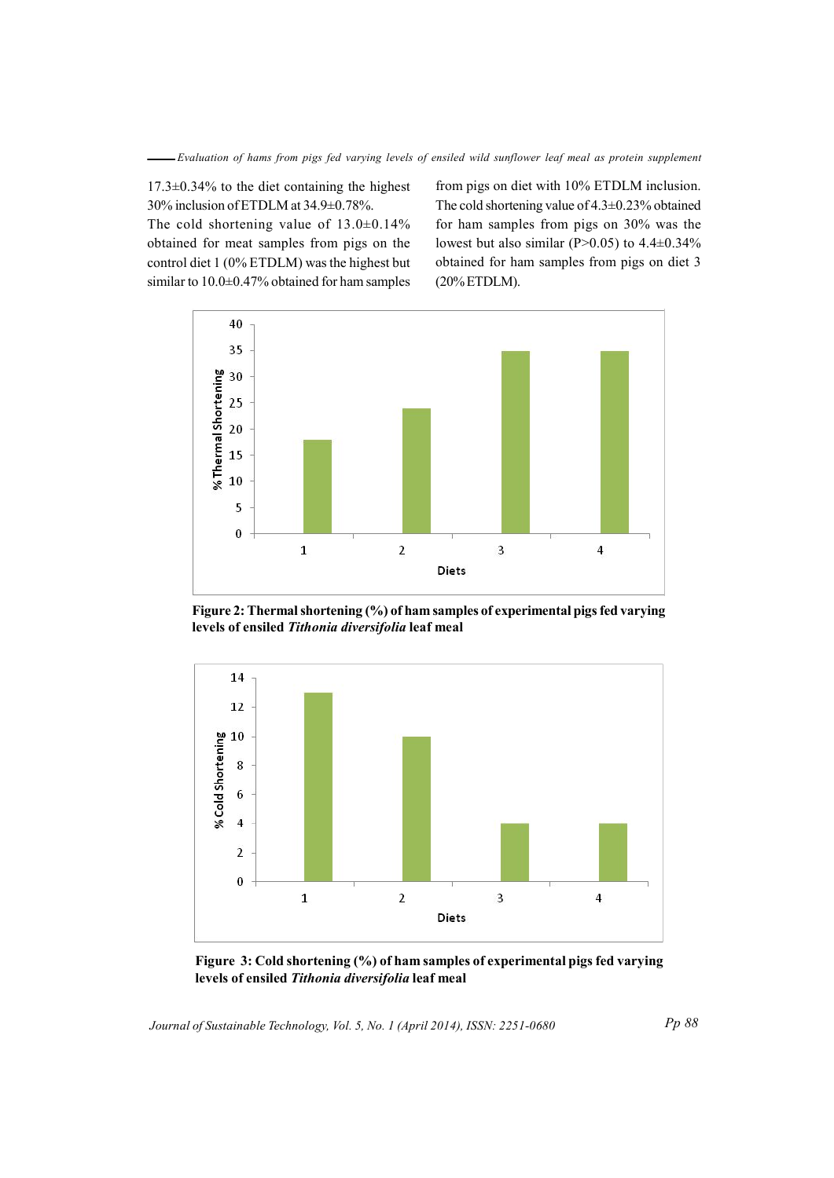Evaluation of hams from pigs fed varying levels of ensiled wild sunflower leaf meal as protein supplement

 $17.3\pm0.34\%$  to the diet containing the highest 30% inclusion of ETDLM at 34.9±0.78%.

The cold shortening value of  $13.0\pm0.14\%$ obtained for meat samples from pigs on the control diet 1 (0% ETDLM) was the highest but similar to  $10.0\pm0.47\%$  obtained for ham samples

from pigs on diet with 10% ETDLM inclusion. The cold shortening value of 4.3±0.23% obtained for ham samples from pigs on 30% was the lowest but also similar (P>0.05) to  $4.4\pm0.34\%$ obtained for ham samples from pigs on diet 3  $(20\%$  ETDLM).



Figure 2: Thermal shortening  $(\%)$  of ham samples of experimental pigs fed varying levels of ensiled Tithonia diversifolia leaf meal



Figure 3: Cold shortening (%) of ham samples of experimental pigs fed varying levels of ensiled Tithonia diversifolia leaf meal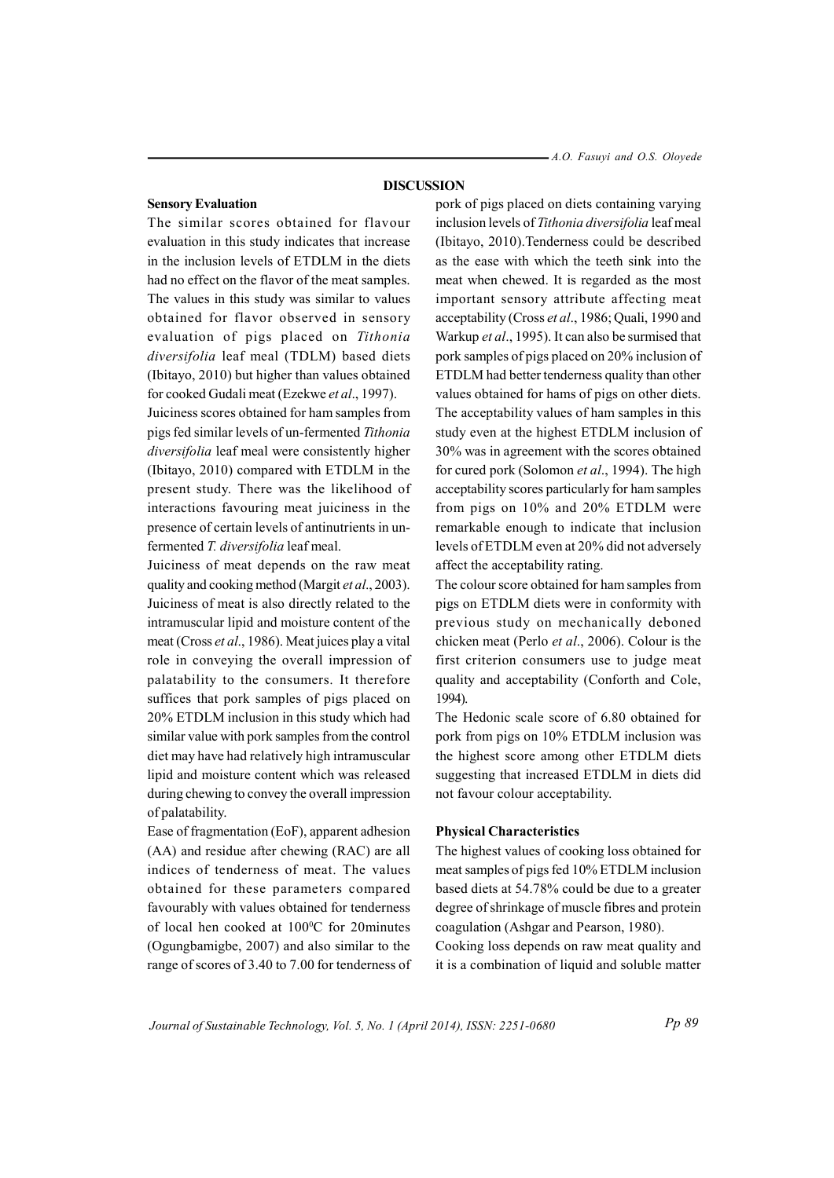#### **DISCUSSION**

#### **Sensory Evaluation**

The similar scores obtained for flavour evaluation in this study indicates that increase in the inclusion levels of ETDLM in the diets had no effect on the flavor of the meat samples. The values in this study was similar to values obtained for flavor observed in sensory evaluation of pigs placed on Tithonia diversifolia leaf meal (TDLM) based diets (Ibitayo, 2010) but higher than values obtained for cooked Gudali meat (Ezekwe et al., 1997).

Juiciness scores obtained for ham samples from pigs fed similar levels of un-fermented Tithonia diversifolia leaf meal were consistently higher (Ibitayo, 2010) compared with ETDLM in the present study. There was the likelihood of interactions favouring meat juiciness in the presence of certain levels of antinutrients in unfermented T. diversifolia leaf meal.

Juiciness of meat depends on the raw meat quality and cooking method (Margit et al., 2003). Juiciness of meat is also directly related to the intramuscular lipid and moisture content of the meat (Cross et al., 1986). Meat juices play a vital role in conveying the overall impression of palatability to the consumers. It therefore suffices that pork samples of pigs placed on 20% ETDLM inclusion in this study which had similar value with pork samples from the control diet may have had relatively high intramuscular lipid and moisture content which was released during chewing to convey the overall impression of palatability.

Ease of fragmentation (EoF), apparent adhesion (AA) and residue after chewing (RAC) are all indices of tenderness of meat. The values obtained for these parameters compared favourably with values obtained for tenderness of local hen cooked at 100°C for 20minutes (Ogungbamigbe, 2007) and also similar to the range of scores of 3.40 to 7.00 for tenderness of pork of pigs placed on diets containing varying inclusion levels of Tithonia diversifolia leaf meal (Ibitayo, 2010). Tenderness could be described as the ease with which the teeth sink into the meat when chewed. It is regarded as the most important sensory attribute affecting meat acceptability (Cross et al., 1986; Quali, 1990 and Warkup et al., 1995). It can also be surmised that pork samples of pigs placed on 20% inclusion of ETDLM had better tenderness quality than other values obtained for hams of pigs on other diets. The acceptability values of ham samples in this study even at the highest ETDLM inclusion of 30% was in agreement with the scores obtained for cured pork (Solomon et al., 1994). The high acceptability scores particularly for ham samples from pigs on 10% and 20% ETDLM were remarkable enough to indicate that inclusion levels of ETDLM even at 20% did not adversely affect the acceptability rating.

The colour score obtained for ham samples from pigs on ETDLM diets were in conformity with previous study on mechanically deboned chicken meat (Perlo et al., 2006). Colour is the first criterion consumers use to judge meat quality and acceptability (Conforth and Cole, 1994).

The Hedonic scale score of 6.80 obtained for pork from pigs on 10% ETDLM inclusion was the highest score among other ETDLM diets suggesting that increased ETDLM in diets did not favour colour acceptability.

#### **Physical Characteristics**

The highest values of cooking loss obtained for meat samples of pigs fed 10% ETDLM inclusion based diets at 54.78% could be due to a greater degree of shrinkage of muscle fibres and protein coagulation (Ashgar and Pearson, 1980).

Cooking loss depends on raw meat quality and it is a combination of liquid and soluble matter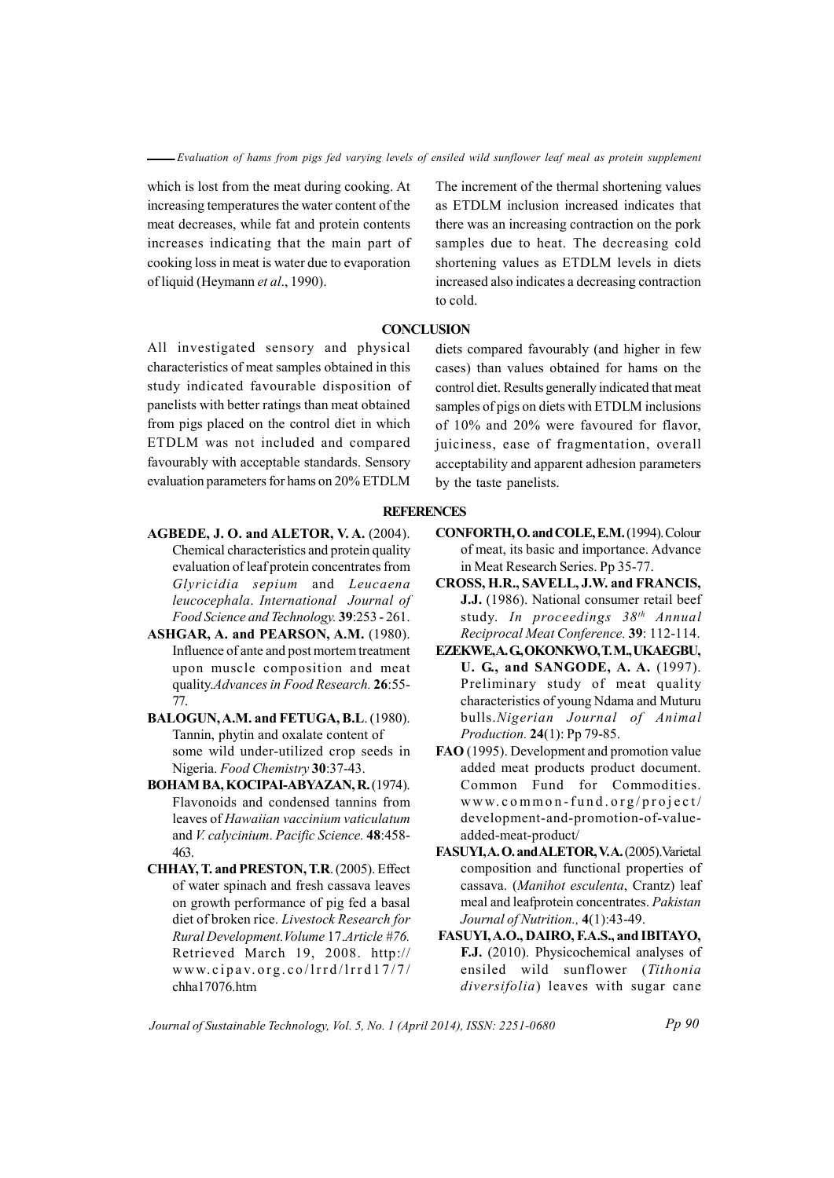which is lost from the meat during cooking. At increasing temperatures the water content of the meat decreases, while fat and protein contents increases indicating that the main part of cooking loss in meat is water due to evaporation of liquid (Heymann et al., 1990).

All investigated sensory and physical characteristics of meat samples obtained in this study indicated favourable disposition of panelists with better ratings than meat obtained from pigs placed on the control diet in which ETDLM was not included and compared favourably with acceptable standards. Sensory evaluation parameters for hams on 20% ETDLM

**REFERENCES** 

- AGBEDE, J. O. and ALETOR, V.A. (2004). Chemical characteristics and protein quality evaluation of leaf protein concentrates from Glyricidia sepium and Leucaena leucocephala. International Journal of Food Science and Technology. 39:253 - 261.
- ASHGAR, A. and PEARSON, A.M. (1980). Influence of ante and post mortem treatment upon muscle composition and meat quality.Advances in Food Research. 26:55-77.
- BALOGUN, A.M. and FETUGA, B.L. (1980). Tannin, phytin and oxalate content of some wild under-utilized crop seeds in Nigeria. Food Chemistry 30:37-43.
- **BOHAM BA, KOCIPAI-ABYAZAN, R. (1974).** Flavonoids and condensed tannins from leaves of Hawaiian vaccinium vaticulatum and V. calvcinium. Pacific Science. 48:458-463.
- CHHAY, T. and PRESTON, T.R. (2005). Effect of water spinach and fresh cassava leaves on growth performance of pig fed a basal diet of broken rice. Livestock Research for Rural Development. Volume 17. Article #76. Retrieved March 19, 2008. http:// www.cipav.org.co/lrrd/lrrd17/7/ chha17076.htm

The increment of the thermal shortening values as ETDLM inclusion increased indicates that there was an increasing contraction on the pork samples due to heat. The decreasing cold shortening values as ETDLM levels in diets increased also indicates a decreasing contraction to cold.

# **CONCLUSION**

diets compared favourably (and higher in few cases) than values obtained for hams on the control diet. Results generally indicated that meat samples of pigs on diets with ETDLM inclusions of 10% and 20% were favoured for flavor, juiciness, ease of fragmentation, overall acceptability and apparent adhesion parameters by the taste panelists.

- CONFORTH, O. and COLE, E.M. (1994). Colour of meat, its basic and importance. Advance in Meat Research Series. Pp 35-77.
- CROSS, H.R., SAVELL, J.W. and FRANCIS, J.J. (1986). National consumer retail beef study. In proceedings 38<sup>th</sup> Annual Reciprocal Meat Conference. 39: 112-114.
- EZEKWE, A. G, OKONKWO, T. M., UKAEGBU, U. G., and SANGODE, A. A. (1997). Preliminary study of meat quality characteristics of young Ndama and Muturu bulls. Nigerian Journal of Animal Production. 24(1): Pp 79-85.
- FAO (1995). Development and promotion value added meat products product document. Common Fund for Commodities. www.common-fund.org/project/ development-and-promotion-of-valueadded-meat-product/
- FASUYLA.O. and ALETOR.V.A. (2005). Varietal composition and functional properties of cassava. (Manihot esculenta, Crantz) leaf meal and leafprotein concentrates. Pakistan Journal of Nutrition., 4(1):43-49.
- FASUYI, A.O., DAIRO, F.A.S., and IBITAYO, **F.J.** (2010). Physicochemical analyses of ensiled wild sunflower (Tithonia diversifolia) leaves with sugar cane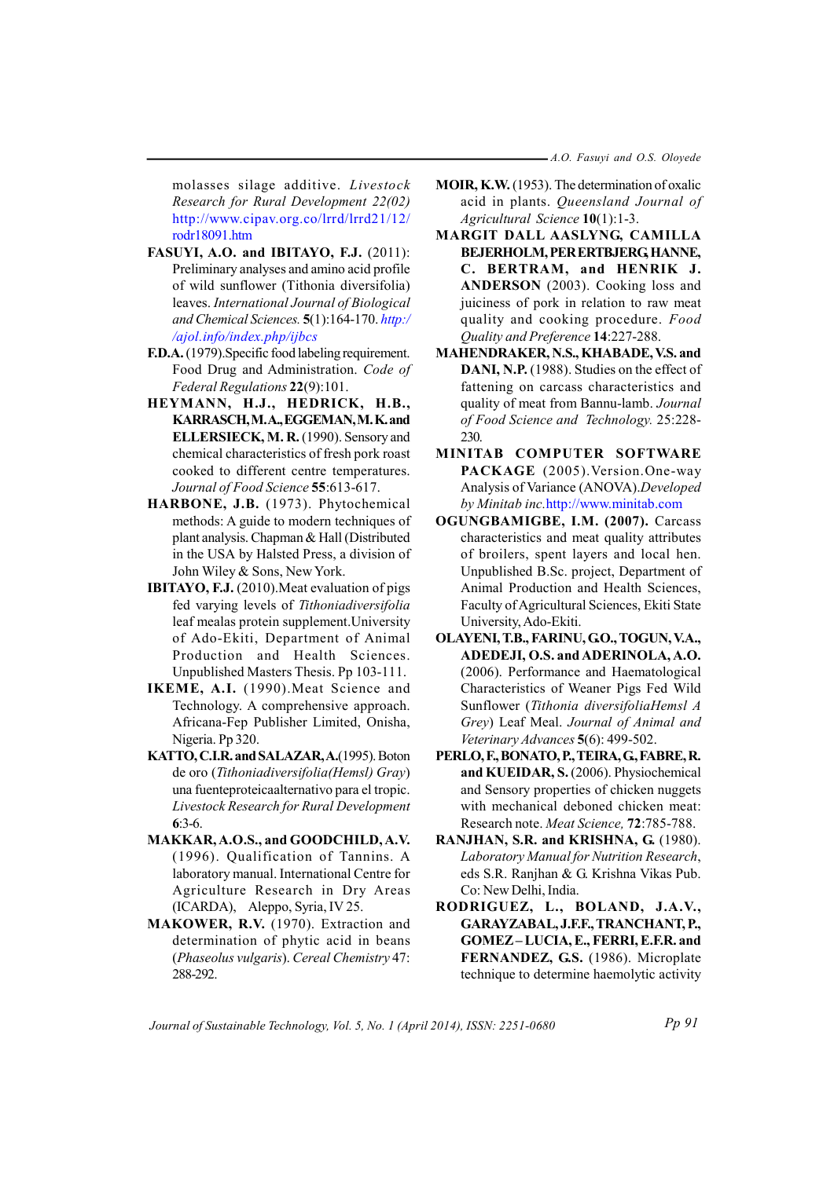-A.O. Fasuyi and O.S. Oloyede

molasses silage additive. Livestock Research for Rural Development 22(02) http://www.cipav.org.co/lrrd/lrrd21/12/ rodr18091.htm

- FASUYI, A.O. and IBITAYO, F.J. (2011): Preliminary analyses and amino acid profile of wild sunflower (Tithonia diversifolia) leaves. International Journal of Biological and Chemical Sciences. 5(1):164-170. http:/ /ajol.info/index.php/ijbcs
- **F.D.A.** (1979). Specific food labeling requirement. Food Drug and Administration. Code of *Federal Regulations* 22(9):101.
- HEYMANN, H.J., HEDRICK, H.B., KARRASCH, M.A., EGGEMAN, M.K. and ELLERSIECK, M. R. (1990). Sensory and chemical characteristics of fresh pork roast cooked to different centre temperatures. Journal of Food Science 55:613-617.
- HARBONE, J.B. (1973). Phytochemical methods: A guide to modern techniques of plant analysis. Chapman & Hall (Distributed in the USA by Halsted Press, a division of John Wiley & Sons, New York.
- IBITAYO, F.J. (2010). Meat evaluation of pigs fed varying levels of Tithoniadiversifolia leaf mealas protein supplement. University of Ado-Ekiti, Department of Animal Production and Health Sciences. Unpublished Masters Thesis. Pp 103-111.
- IKEME, A.I. (1990). Meat Science and Technology. A comprehensive approach. Africana-Fep Publisher Limited, Onisha, Nigeria. Pp 320.
- KATTO, C.I.R. and SALAZAR, A.(1995). Boton de oro (Tithoniadiversifolia(Hemsl) Gray) una fuenteproteicaalternativo para el tropic. Livestock Research for Rural Development  $6:3-6.$
- MAKKAR, A.O.S., and GOODCHILD, A.V. (1996). Qualification of Tannins. A laboratory manual. International Centre for Agriculture Research in Dry Areas (ICARDA), Aleppo, Syria, IV 25.
- MAKOWER, R.V. (1970). Extraction and determination of phytic acid in beans (Phaseolus vulgaris). Cereal Chemistry 47: 288-292
- MOIR, K.W. (1953). The determination of oxalic acid in plants. Queensland Journal of Agricultural Science 10(1):1-3.
- MARGIT DALL AASLYNG, CAMILLA BEJERHOLM, PER ERTBJERG, HANNE, C. BERTRAM, and HENRIK J. ANDERSON (2003). Cooking loss and juiciness of pork in relation to raw meat quality and cooking procedure. Food Ouality and Preference 14:227-288.
- MAHENDRAKER, N.S., KHABADE, V.S. and DANI, N.P. (1988). Studies on the effect of fattening on carcass characteristics and quality of meat from Bannu-lamb. Journal of Food Science and Technology. 25:228-230
- MINITAB COMPUTER SOFTWARE PACKAGE (2005). Version. One-way Analysis of Variance (ANOVA).Developed by Minitab inc.http://www.minitab.com
- OGUNGBAMIGBE, I.M. (2007). Carcass characteristics and meat quality attributes of broilers, spent layers and local hen. Unpublished B.Sc. project, Department of Animal Production and Health Sciences, Faculty of Agricultural Sciences, Ekiti State University, Ado-Ekiti.
- OLAYENI, T.B., FARINU, G.O., TOGUN, V.A., ADEDEJI, O.S. and ADERINOLA, A.O. (2006). Performance and Haematological Characteristics of Weaner Pigs Fed Wild Sunflower (Tithonia diversifoliaHemsl A Grey) Leaf Meal. Journal of Animal and Veterinary Advances 5(6): 499-502.
- PERLO, F., BONATO, P., TEIRA, G., FABRE, R. and KUEIDAR, S. (2006). Physiochemical and Sensory properties of chicken nuggets with mechanical deboned chicken meat: Research note. Meat Science, 72:785-788.
- RANJHAN, S.R. and KRISHNA, G. (1980). Laboratory Manual for Nutrition Research, eds S.R. Ranjhan & G. Krishna Vikas Pub. Co: New Delhi, India.
- RODRIGUEZ, L., BOLAND, J.A.V., GARAYZABAL, J.F.F., TRANCHANT, P., GOMEZ-LUCIA, E., FERRI, E.F.R. and FERNANDEZ, G.S. (1986). Microplate technique to determine haemolytic activity